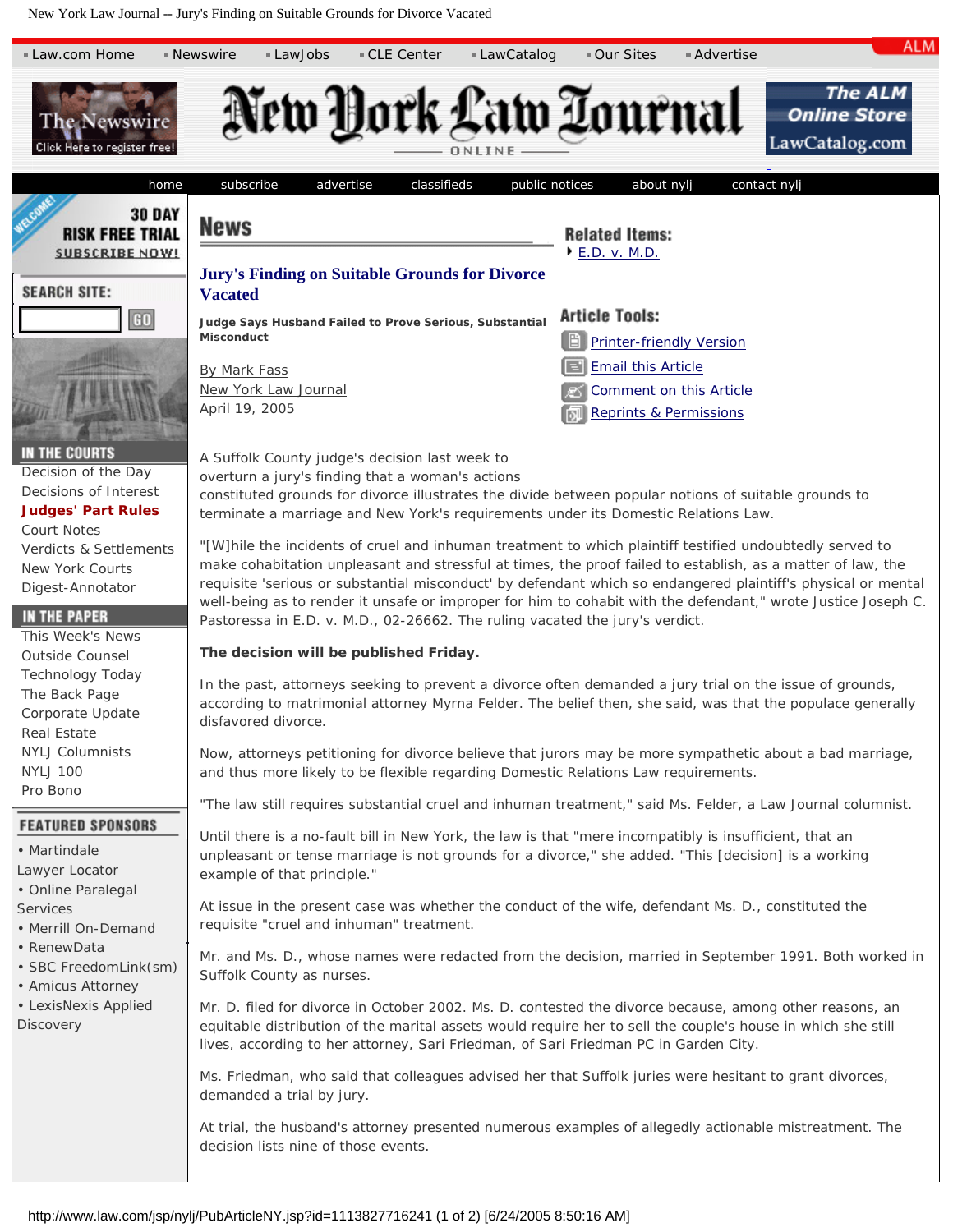New York Law Journal -- Jury's Finding on Suitable Grounds for Divorce Vacated

<span id="page-0-0"></span>